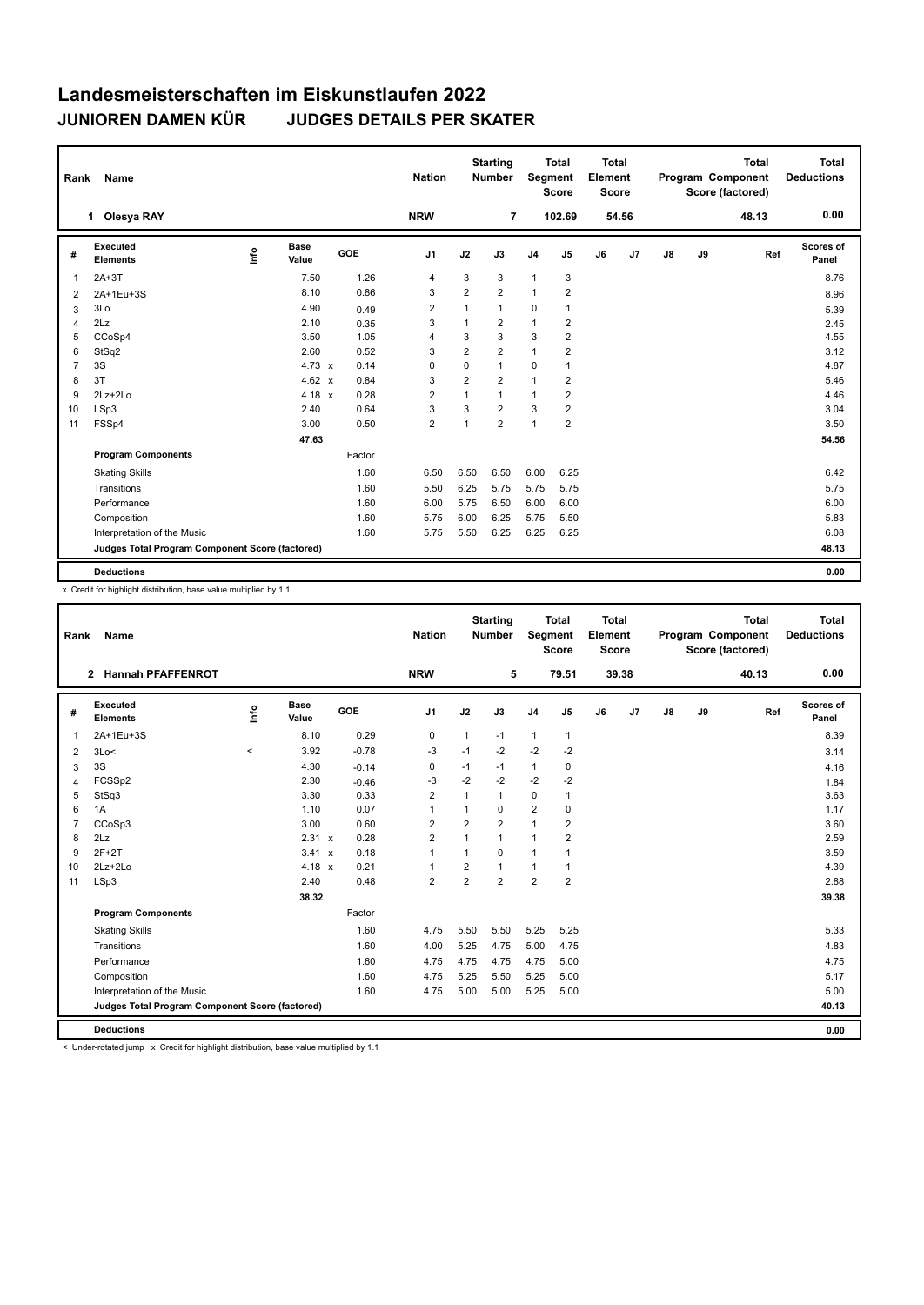| Name<br>Rank   |                                                 |      |                      | <b>Nation</b> |        | <b>Starting</b><br><b>Number</b> | Segment        | <b>Total</b><br><b>Score</b> | <b>Total</b><br>Element<br><b>Score</b> |                |    |       | <b>Total</b><br><b>Program Component</b><br>Score (factored) | Total<br><b>Deductions</b> |       |                    |
|----------------|-------------------------------------------------|------|----------------------|---------------|--------|----------------------------------|----------------|------------------------------|-----------------------------------------|----------------|----|-------|--------------------------------------------------------------|----------------------------|-------|--------------------|
|                | <b>Olesya RAY</b><br>1.                         |      |                      |               |        | <b>NRW</b>                       |                | $\overline{7}$               |                                         | 102.69         |    | 54.56 |                                                              |                            | 48.13 | 0.00               |
| #              | Executed<br><b>Elements</b>                     | lnfo | <b>Base</b><br>Value | GOE           |        | J <sub>1</sub>                   | J2             | J3                           | J <sub>4</sub>                          | J5             | J6 | J7    | $\mathsf{J}8$                                                | J9                         | Ref   | Scores of<br>Panel |
| $\overline{1}$ | $2A+3T$                                         |      | 7.50                 |               | 1.26   | 4                                | 3              | 3                            | $\mathbf{1}$                            | 3              |    |       |                                                              |                            |       | 8.76               |
| 2              | 2A+1Eu+3S                                       |      | 8.10                 |               | 0.86   | 3                                | 2              | $\overline{2}$               | $\mathbf{1}$                            | $\overline{2}$ |    |       |                                                              |                            |       | 8.96               |
| 3              | 3Lo                                             |      | 4.90                 |               | 0.49   | $\overline{2}$                   | 1              | $\mathbf{1}$                 | $\mathbf 0$                             | 1              |    |       |                                                              |                            |       | 5.39               |
| $\overline{4}$ | 2Lz                                             |      | 2.10                 |               | 0.35   | 3                                | 1              | $\overline{2}$               | $\mathbf{1}$                            | 2              |    |       |                                                              |                            |       | 2.45               |
| 5              | CCoSp4                                          |      | 3.50                 |               | 1.05   | 4                                | 3              | 3                            | 3                                       | $\overline{2}$ |    |       |                                                              |                            |       | 4.55               |
| 6              | StSq2                                           |      | 2.60                 |               | 0.52   | 3                                | $\overline{2}$ | $\overline{2}$               | $\mathbf{1}$                            | $\overline{2}$ |    |       |                                                              |                            |       | 3.12               |
| $\overline{7}$ | 3S                                              |      | $4.73 \times$        |               | 0.14   | 0                                | $\mathbf 0$    | $\mathbf{1}$                 | $\mathbf 0$                             | 1              |    |       |                                                              |                            |       | 4.87               |
| 8              | 3T                                              |      | 4.62 $x$             |               | 0.84   | 3                                | 2              | $\overline{2}$               | $\mathbf{1}$                            | 2              |    |       |                                                              |                            |       | 5.46               |
| 9              | $2Lz + 2Lo$                                     |      | $4.18 \times$        |               | 0.28   | $\overline{2}$                   | $\mathbf{1}$   | $\mathbf{1}$                 | $\mathbf{1}$                            | $\overline{2}$ |    |       |                                                              |                            |       | 4.46               |
| 10             | LSp3                                            |      | 2.40                 |               | 0.64   | 3                                | 3              | $\overline{2}$               | 3                                       | $\overline{2}$ |    |       |                                                              |                            |       | 3.04               |
| 11             | FSSp4                                           |      | 3.00                 |               | 0.50   | $\overline{2}$                   | 1              | $\overline{2}$               | 1                                       | $\overline{2}$ |    |       |                                                              |                            |       | 3.50               |
|                |                                                 |      | 47.63                |               |        |                                  |                |                              |                                         |                |    |       |                                                              |                            |       | 54.56              |
|                | <b>Program Components</b>                       |      |                      |               | Factor |                                  |                |                              |                                         |                |    |       |                                                              |                            |       |                    |
|                | <b>Skating Skills</b>                           |      |                      |               | 1.60   | 6.50                             | 6.50           | 6.50                         | 6.00                                    | 6.25           |    |       |                                                              |                            |       | 6.42               |
|                | Transitions                                     |      |                      |               | 1.60   | 5.50                             | 6.25           | 5.75                         | 5.75                                    | 5.75           |    |       |                                                              |                            |       | 5.75               |
|                | Performance                                     |      |                      |               | 1.60   | 6.00                             | 5.75           | 6.50                         | 6.00                                    | 6.00           |    |       |                                                              |                            |       | 6.00               |
|                | Composition                                     |      |                      |               | 1.60   | 5.75                             | 6.00           | 6.25                         | 5.75                                    | 5.50           |    |       |                                                              |                            |       | 5.83               |
|                | Interpretation of the Music                     |      |                      |               | 1.60   | 5.75                             | 5.50           | 6.25                         | 6.25                                    | 6.25           |    |       |                                                              |                            |       | 6.08               |
|                | Judges Total Program Component Score (factored) |      |                      |               |        |                                  |                |                              |                                         |                |    |       |                                                              |                            |       | 48.13              |
|                | <b>Deductions</b>                               |      |                      |               |        |                                  |                |                              |                                         |                |    |       |                                                              |                            |       | 0.00               |

x Credit for highlight distribution, base value multiplied by 1.1

| Rank           | Name                                            |          |                      |         | <b>Nation</b>  |                | <b>Starting</b><br><b>Number</b> | Segment        | <b>Total</b><br><b>Score</b> | <b>Total</b><br>Element<br><b>Score</b> |       |               |    | <b>Total</b><br>Program Component<br>Score (factored) | <b>Total</b><br><b>Deductions</b> |
|----------------|-------------------------------------------------|----------|----------------------|---------|----------------|----------------|----------------------------------|----------------|------------------------------|-----------------------------------------|-------|---------------|----|-------------------------------------------------------|-----------------------------------|
|                | <b>Hannah PFAFFENROT</b><br>$\mathbf{2}$        |          |                      |         | <b>NRW</b>     |                | 5                                |                | 79.51                        |                                         | 39.38 |               |    | 40.13                                                 | 0.00                              |
| #              | Executed<br><b>Elements</b>                     | Lnfo     | <b>Base</b><br>Value | GOE     | J1             | J2             | J3                               | J <sub>4</sub> | J5                           | J6                                      | J7    | $\mathsf{J}8$ | J9 | Ref                                                   | Scores of<br>Panel                |
| $\overline{1}$ | 2A+1Eu+3S                                       |          | 8.10                 | 0.29    | 0              | $\mathbf{1}$   | $-1$                             | $\mathbf{1}$   | $\mathbf{1}$                 |                                         |       |               |    |                                                       | 8.39                              |
| 2              | 3Lo<                                            | $\hat{}$ | 3.92                 | $-0.78$ | $-3$           | $-1$           | $-2$                             | $-2$           | $-2$                         |                                         |       |               |    |                                                       | 3.14                              |
| 3              | 3S                                              |          | 4.30                 | $-0.14$ | 0              | $-1$           | $-1$                             | $\mathbf{1}$   | 0                            |                                         |       |               |    |                                                       | 4.16                              |
| 4              | FCSSp2                                          |          | 2.30                 | $-0.46$ | -3             | $-2$           | $-2$                             | $-2$           | $-2$                         |                                         |       |               |    |                                                       | 1.84                              |
| 5              | StSq3                                           |          | 3.30                 | 0.33    | $\overline{2}$ | 1              | $\mathbf{1}$                     | $\mathbf 0$    | 1                            |                                         |       |               |    |                                                       | 3.63                              |
| 6              | 1A                                              |          | 1.10                 | 0.07    | $\mathbf{1}$   |                | 0                                | $\overline{2}$ | 0                            |                                         |       |               |    |                                                       | 1.17                              |
| $\overline{7}$ | CCoSp3                                          |          | 3.00                 | 0.60    | $\overline{2}$ | $\overline{2}$ | $\overline{2}$                   | $\mathbf{1}$   | $\overline{2}$               |                                         |       |               |    |                                                       | 3.60                              |
| 8              | 2Lz                                             |          | 2.31 x               | 0.28    | $\overline{2}$ | 1              | $\overline{1}$                   | $\mathbf{1}$   | 2                            |                                         |       |               |    |                                                       | 2.59                              |
| 9              | $2F+2T$                                         |          | 3.41 x               | 0.18    | $\mathbf{1}$   | 1              | 0                                | $\mathbf{1}$   | 1                            |                                         |       |               |    |                                                       | 3.59                              |
| 10             | $2Lz+2Lo$                                       |          | 4.18 $x$             | 0.21    | $\mathbf{1}$   | $\overline{2}$ | 1                                | $\mathbf{1}$   | 1                            |                                         |       |               |    |                                                       | 4.39                              |
| 11             | LSp3                                            |          | 2.40                 | 0.48    | $\overline{2}$ | $\overline{2}$ | $\overline{2}$                   | $\overline{2}$ | $\overline{2}$               |                                         |       |               |    |                                                       | 2.88                              |
|                |                                                 |          | 38.32                |         |                |                |                                  |                |                              |                                         |       |               |    |                                                       | 39.38                             |
|                | <b>Program Components</b>                       |          |                      | Factor  |                |                |                                  |                |                              |                                         |       |               |    |                                                       |                                   |
|                | <b>Skating Skills</b>                           |          |                      | 1.60    | 4.75           | 5.50           | 5.50                             | 5.25           | 5.25                         |                                         |       |               |    |                                                       | 5.33                              |
|                | Transitions                                     |          |                      | 1.60    | 4.00           | 5.25           | 4.75                             | 5.00           | 4.75                         |                                         |       |               |    |                                                       | 4.83                              |
|                | Performance                                     |          |                      | 1.60    | 4.75           | 4.75           | 4.75                             | 4.75           | 5.00                         |                                         |       |               |    |                                                       | 4.75                              |
|                | Composition                                     |          |                      | 1.60    | 4.75           | 5.25           | 5.50                             | 5.25           | 5.00                         |                                         |       |               |    |                                                       | 5.17                              |
|                | Interpretation of the Music                     |          |                      | 1.60    | 4.75           | 5.00           | 5.00                             | 5.25           | 5.00                         |                                         |       |               |    |                                                       | 5.00                              |
|                | Judges Total Program Component Score (factored) |          |                      |         |                |                |                                  |                |                              |                                         |       |               |    |                                                       | 40.13                             |
|                | <b>Deductions</b>                               |          |                      |         |                |                |                                  |                |                              |                                         |       |               |    |                                                       | 0.00                              |

< Under-rotated jump x Credit for highlight distribution, base value multiplied by 1.1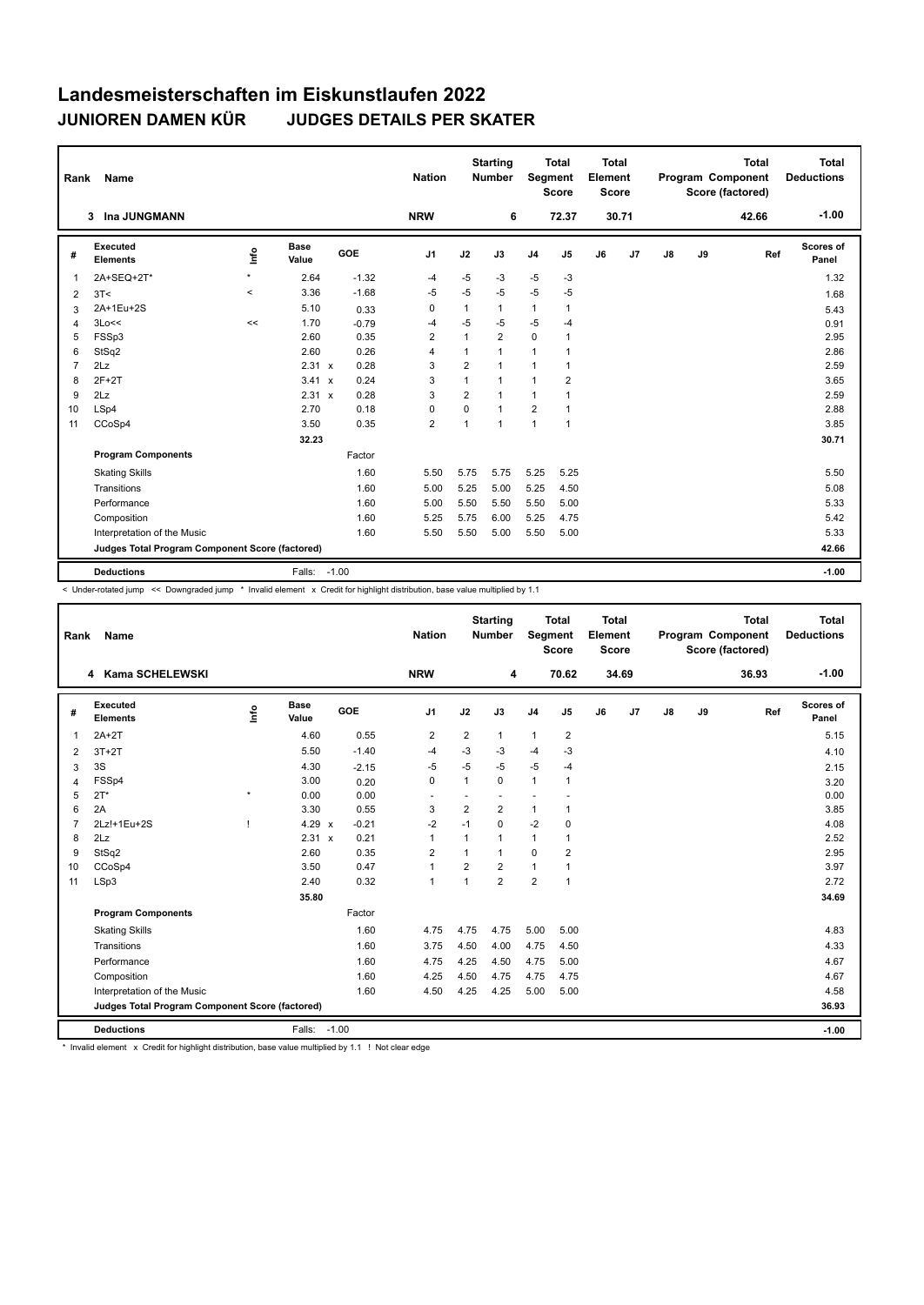| Rank           | Name                                            |         |                      |         | <b>Nation</b>  |                | <b>Starting</b><br>Number | Segment        | <b>Total</b><br><b>Score</b> | <b>Total</b><br>Element<br>Score |       |               |    | <b>Total</b><br><b>Program Component</b><br>Score (factored) | <b>Total</b><br><b>Deductions</b> |
|----------------|-------------------------------------------------|---------|----------------------|---------|----------------|----------------|---------------------------|----------------|------------------------------|----------------------------------|-------|---------------|----|--------------------------------------------------------------|-----------------------------------|
|                | Ina JUNGMANN<br>$\mathbf{3}$                    |         |                      |         | <b>NRW</b>     |                | 6                         |                | 72.37                        |                                  | 30.71 |               |    | 42.66                                                        | $-1.00$                           |
| #              | Executed<br><b>Elements</b>                     | ١m      | <b>Base</b><br>Value | GOE     | J <sub>1</sub> | J2             | J3                        | J <sub>4</sub> | J <sub>5</sub>               | J6                               | J7    | $\mathsf{J}8$ | J9 | Ref                                                          | Scores of<br>Panel                |
| $\mathbf{1}$   | 2A+SEQ+2T*                                      | $\star$ | 2.64                 | $-1.32$ | $-4$           | $-5$           | $-3$                      | $-5$           | $-3$                         |                                  |       |               |    |                                                              | 1.32                              |
| 2              | 3T<                                             | $\,<$   | 3.36                 | $-1.68$ | $-5$           | $-5$           | $-5$                      | $-5$           | $-5$                         |                                  |       |               |    |                                                              | 1.68                              |
| 3              | 2A+1Eu+2S                                       |         | 5.10                 | 0.33    | 0              | $\mathbf{1}$   | 1                         | $\mathbf{1}$   | $\mathbf{1}$                 |                                  |       |               |    |                                                              | 5.43                              |
| $\overline{4}$ | 3Lo<<                                           | <<      | 1.70                 | $-0.79$ | -4             | -5             | $-5$                      | $-5$           | -4                           |                                  |       |               |    |                                                              | 0.91                              |
| 5              | FSSp3                                           |         | 2.60                 | 0.35    | $\overline{2}$ | $\mathbf{1}$   | $\overline{2}$            | 0              | $\mathbf{1}$                 |                                  |       |               |    |                                                              | 2.95                              |
| 6              | StSq2                                           |         | 2.60                 | 0.26    | $\overline{4}$ | $\mathbf{1}$   | $\mathbf{1}$              | $\mathbf{1}$   | $\mathbf{1}$                 |                                  |       |               |    |                                                              | 2.86                              |
| $\overline{7}$ | 2Lz                                             |         | $2.31 \times$        | 0.28    | 3              | $\overline{2}$ | 1                         | $\mathbf{1}$   | $\mathbf{1}$                 |                                  |       |               |    |                                                              | 2.59                              |
| 8              | $2F+2T$                                         |         | $3.41 \times$        | 0.24    | 3              | $\mathbf{1}$   | $\mathbf{1}$              | $\mathbf{1}$   | 2                            |                                  |       |               |    |                                                              | 3.65                              |
| 9              | 2Lz                                             |         | $2.31 \times$        | 0.28    | 3              | $\overline{2}$ | 1                         | $\mathbf{1}$   | 1                            |                                  |       |               |    |                                                              | 2.59                              |
| 10             | LSp4                                            |         | 2.70                 | 0.18    | $\mathbf 0$    | 0              | 1                         | $\overline{2}$ | $\mathbf{1}$                 |                                  |       |               |    |                                                              | 2.88                              |
| 11             | CCoSp4                                          |         | 3.50                 | 0.35    | $\overline{2}$ | $\mathbf{1}$   | $\mathbf{1}$              | $\mathbf{1}$   | $\mathbf{1}$                 |                                  |       |               |    |                                                              | 3.85                              |
|                |                                                 |         | 32.23                |         |                |                |                           |                |                              |                                  |       |               |    |                                                              | 30.71                             |
|                | <b>Program Components</b>                       |         |                      | Factor  |                |                |                           |                |                              |                                  |       |               |    |                                                              |                                   |
|                | <b>Skating Skills</b>                           |         |                      | 1.60    | 5.50           | 5.75           | 5.75                      | 5.25           | 5.25                         |                                  |       |               |    |                                                              | 5.50                              |
|                | Transitions                                     |         |                      | 1.60    | 5.00           | 5.25           | 5.00                      | 5.25           | 4.50                         |                                  |       |               |    |                                                              | 5.08                              |
|                | Performance                                     |         |                      | 1.60    | 5.00           | 5.50           | 5.50                      | 5.50           | 5.00                         |                                  |       |               |    |                                                              | 5.33                              |
|                | Composition                                     |         |                      | 1.60    | 5.25           | 5.75           | 6.00                      | 5.25           | 4.75                         |                                  |       |               |    |                                                              | 5.42                              |
|                | Interpretation of the Music                     |         |                      | 1.60    | 5.50           | 5.50           | 5.00                      | 5.50           | 5.00                         |                                  |       |               |    |                                                              | 5.33                              |
|                | Judges Total Program Component Score (factored) |         |                      |         |                |                |                           |                |                              |                                  |       |               |    |                                                              | 42.66                             |
|                | <b>Deductions</b>                               |         | Falls:               | $-1.00$ |                |                |                           |                |                              |                                  |       |               |    |                                                              | $-1.00$                           |

< Under-rotated jump << Downgraded jump \* Invalid element x Credit for highlight distribution, base value multiplied by 1.1

| Rank           | Name                                            |              |                      |            | <b>Nation</b>  |                | <b>Starting</b><br><b>Number</b> | Segment        | <b>Total</b><br><b>Score</b> | <b>Total</b><br>Element<br><b>Score</b> |       |               |    | <b>Total</b><br>Program Component<br>Score (factored) | Total<br><b>Deductions</b> |
|----------------|-------------------------------------------------|--------------|----------------------|------------|----------------|----------------|----------------------------------|----------------|------------------------------|-----------------------------------------|-------|---------------|----|-------------------------------------------------------|----------------------------|
|                | 4 Kama SCHELEWSKI                               |              |                      |            | <b>NRW</b>     |                | 4                                |                | 70.62                        |                                         | 34.69 |               |    | 36.93                                                 | $-1.00$                    |
| #              | Executed<br><b>Elements</b>                     | ١nf٥         | <b>Base</b><br>Value | <b>GOE</b> | J1             | J2             | J3                               | J <sub>4</sub> | J5                           | J6                                      | J7    | $\mathsf{J}8$ | J9 | Ref                                                   | Scores of<br>Panel         |
| 1              | $2A+2T$                                         |              | 4.60                 | 0.55       | $\overline{2}$ | $\overline{2}$ | 1                                | $\mathbf{1}$   | $\overline{2}$               |                                         |       |               |    |                                                       | 5.15                       |
| 2              | $3T+2T$                                         |              | 5.50                 | $-1.40$    | -4             | $-3$           | $-3$                             | $-4$           | $-3$                         |                                         |       |               |    |                                                       | 4.10                       |
| 3              | 3S                                              |              | 4.30                 | $-2.15$    | $-5$           | $-5$           | $-5$                             | $-5$           | $-4$                         |                                         |       |               |    |                                                       | 2.15                       |
| $\overline{4}$ | FSSp4                                           |              | 3.00                 | 0.20       | $\Omega$       | $\mathbf{1}$   | $\Omega$                         | $\mathbf{1}$   | $\mathbf{1}$                 |                                         |       |               |    |                                                       | 3.20                       |
| 5              | $2T*$                                           | $\pmb{\ast}$ | 0.00                 | 0.00       | ÷              | ٠              |                                  | ٠              |                              |                                         |       |               |    |                                                       | 0.00                       |
| 6              | 2A                                              |              | 3.30                 | 0.55       | 3              | $\overline{2}$ | $\overline{2}$                   | $\mathbf{1}$   | 1                            |                                         |       |               |    |                                                       | 3.85                       |
| $\overline{7}$ | 2Lz!+1Eu+2S                                     | -1           | $4.29 \times$        | $-0.21$    | $-2$           | $-1$           | $\Omega$                         | $-2$           | $\mathbf 0$                  |                                         |       |               |    |                                                       | 4.08                       |
| 8              | 2Lz                                             |              | 2.31 x               | 0.21       | $\overline{1}$ | 1              | $\mathbf{1}$                     | $\mathbf{1}$   | 1                            |                                         |       |               |    |                                                       | 2.52                       |
| 9              | StSq2                                           |              | 2.60                 | 0.35       | $\overline{2}$ | 1              | $\mathbf{1}$                     | $\mathbf 0$    | $\overline{2}$               |                                         |       |               |    |                                                       | 2.95                       |
| 10             | CCoSp4                                          |              | 3.50                 | 0.47       | $\overline{1}$ | $\overline{2}$ | $\overline{2}$                   | $\mathbf{1}$   | 1                            |                                         |       |               |    |                                                       | 3.97                       |
| 11             | LSp3                                            |              | 2.40                 | 0.32       | $\overline{1}$ | $\mathbf{1}$   | $\overline{2}$                   | $\overline{2}$ | $\mathbf{1}$                 |                                         |       |               |    |                                                       | 2.72                       |
|                |                                                 |              | 35.80                |            |                |                |                                  |                |                              |                                         |       |               |    |                                                       | 34.69                      |
|                | <b>Program Components</b>                       |              |                      | Factor     |                |                |                                  |                |                              |                                         |       |               |    |                                                       |                            |
|                | <b>Skating Skills</b>                           |              |                      | 1.60       | 4.75           | 4.75           | 4.75                             | 5.00           | 5.00                         |                                         |       |               |    |                                                       | 4.83                       |
|                | Transitions                                     |              |                      | 1.60       | 3.75           | 4.50           | 4.00                             | 4.75           | 4.50                         |                                         |       |               |    |                                                       | 4.33                       |
|                | Performance                                     |              |                      | 1.60       | 4.75           | 4.25           | 4.50                             | 4.75           | 5.00                         |                                         |       |               |    |                                                       | 4.67                       |
|                | Composition                                     |              |                      | 1.60       | 4.25           | 4.50           | 4.75                             | 4.75           | 4.75                         |                                         |       |               |    |                                                       | 4.67                       |
|                | Interpretation of the Music                     |              |                      | 1.60       | 4.50           | 4.25           | 4.25                             | 5.00           | 5.00                         |                                         |       |               |    |                                                       | 4.58                       |
|                | Judges Total Program Component Score (factored) |              |                      |            |                |                |                                  |                |                              |                                         |       |               |    |                                                       | 36.93                      |
|                | <b>Deductions</b>                               |              | Falls: -1.00         |            |                |                |                                  |                |                              |                                         |       |               |    |                                                       | $-1.00$                    |

\* Invalid element x Credit for highlight distribution, base value multiplied by 1.1 ! Not clear edge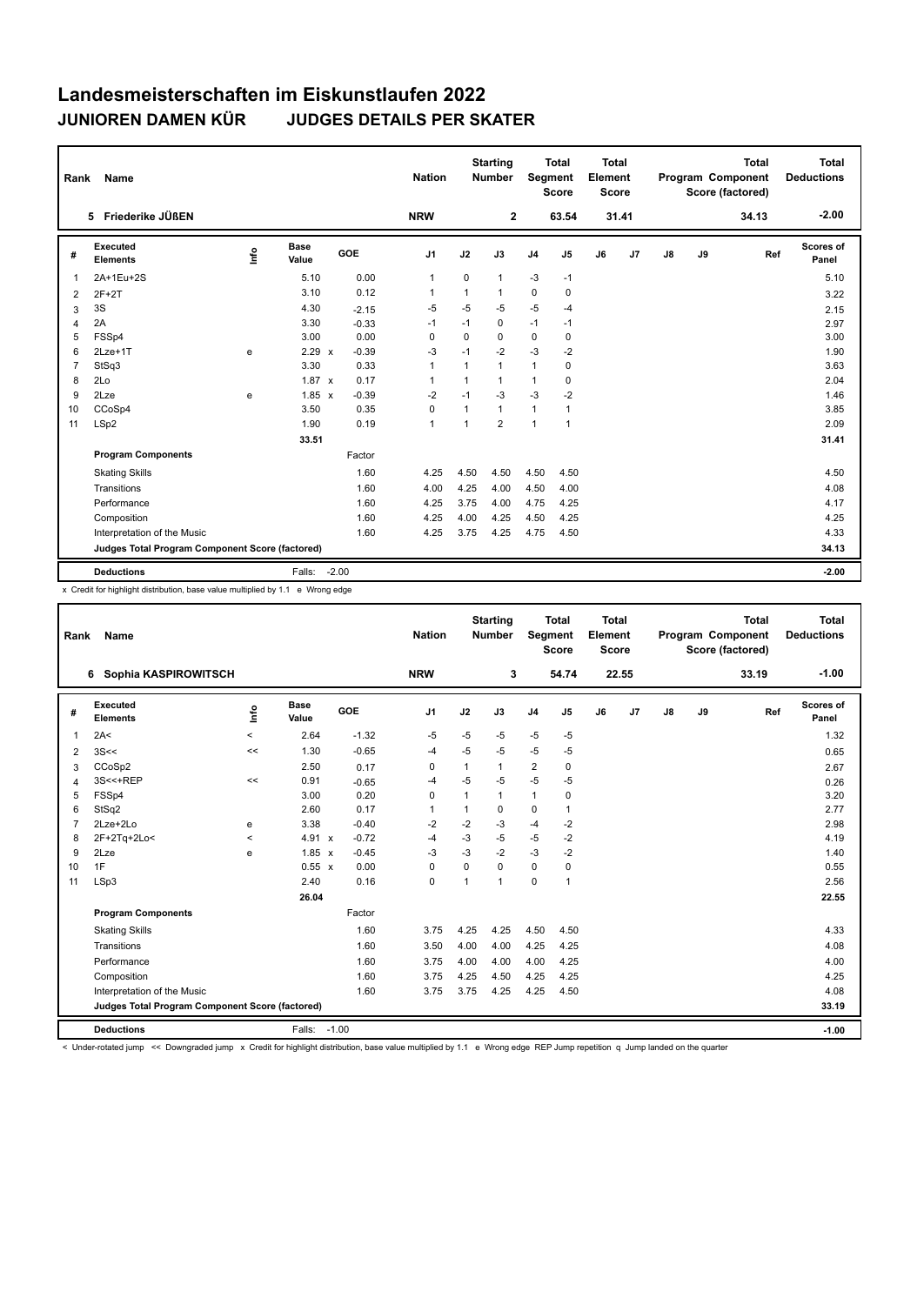| Rank           | Name                                            |      |                      |         | <b>Nation</b>  |                | <b>Starting</b><br><b>Number</b> |                | <b>Total</b><br>Segment<br><b>Score</b> | <b>Total</b><br>Element<br><b>Score</b> |       |               |    | <b>Total</b><br><b>Program Component</b><br>Score (factored) | <b>Total</b><br><b>Deductions</b> |
|----------------|-------------------------------------------------|------|----------------------|---------|----------------|----------------|----------------------------------|----------------|-----------------------------------------|-----------------------------------------|-------|---------------|----|--------------------------------------------------------------|-----------------------------------|
|                | 5 Friederike JÜßEN                              |      |                      |         | <b>NRW</b>     |                | $\mathbf{2}$                     |                | 63.54                                   |                                         | 31.41 |               |    | 34.13                                                        | $-2.00$                           |
| #              | <b>Executed</b><br><b>Elements</b>              | ١nf٥ | <b>Base</b><br>Value | GOE     | J <sub>1</sub> | J2             | J3                               | J <sub>4</sub> | J <sub>5</sub>                          | J6                                      | J7    | $\mathsf{J}8$ | J9 | Ref                                                          | Scores of<br>Panel                |
| 1              | 2A+1Eu+2S                                       |      | 5.10                 | 0.00    | $\mathbf{1}$   | 0              | $\mathbf{1}$                     | $-3$           | $-1$                                    |                                         |       |               |    |                                                              | 5.10                              |
| 2              | $2F+2T$                                         |      | 3.10                 | 0.12    | $\mathbf{1}$   | $\mathbf{1}$   | $\mathbf{1}$                     | 0              | 0                                       |                                         |       |               |    |                                                              | 3.22                              |
| 3              | 3S                                              |      | 4.30                 | $-2.15$ | $-5$           | $-5$           | $-5$                             | $-5$           | $-4$                                    |                                         |       |               |    |                                                              | 2.15                              |
| 4              | 2A                                              |      | 3.30                 | $-0.33$ | $-1$           | $-1$           | $\mathbf 0$                      | $-1$           | $-1$                                    |                                         |       |               |    |                                                              | 2.97                              |
| 5              | FSSp4                                           |      | 3.00                 | 0.00    | 0              | 0              | $\mathbf 0$                      | $\mathbf 0$    | $\mathbf 0$                             |                                         |       |               |    |                                                              | 3.00                              |
| 6              | 2Lze+1T                                         | e    | $2.29 \times$        | $-0.39$ | $-3$           | $-1$           | $-2$                             | $-3$           | $-2$                                    |                                         |       |               |    |                                                              | 1.90                              |
| $\overline{7}$ | StSq3                                           |      | 3.30                 | 0.33    | $\mathbf{1}$   | $\overline{1}$ | $\mathbf{1}$                     | $\mathbf{1}$   | $\mathbf 0$                             |                                         |       |               |    |                                                              | 3.63                              |
| 8              | 2Lo                                             |      | $1.87 \times$        | 0.17    | $\mathbf{1}$   | 1              | $\mathbf{1}$                     | $\mathbf{1}$   | $\mathbf 0$                             |                                         |       |               |    |                                                              | 2.04                              |
| 9              | 2Lze                                            | e    | $1.85 \times$        | $-0.39$ | $-2$           | $-1$           | $-3$                             | $-3$           | $-2$                                    |                                         |       |               |    |                                                              | 1.46                              |
| 10             | CCoSp4                                          |      | 3.50                 | 0.35    | $\mathbf 0$    | $\overline{1}$ | $\mathbf{1}$                     | $\mathbf{1}$   | $\overline{1}$                          |                                         |       |               |    |                                                              | 3.85                              |
| 11             | LSp2                                            |      | 1.90                 | 0.19    | $\mathbf{1}$   | 1              | $\overline{2}$                   | $\mathbf{1}$   | $\overline{1}$                          |                                         |       |               |    |                                                              | 2.09                              |
|                |                                                 |      | 33.51                |         |                |                |                                  |                |                                         |                                         |       |               |    |                                                              | 31.41                             |
|                | <b>Program Components</b>                       |      |                      | Factor  |                |                |                                  |                |                                         |                                         |       |               |    |                                                              |                                   |
|                | <b>Skating Skills</b>                           |      |                      | 1.60    | 4.25           | 4.50           | 4.50                             | 4.50           | 4.50                                    |                                         |       |               |    |                                                              | 4.50                              |
|                | Transitions                                     |      |                      | 1.60    | 4.00           | 4.25           | 4.00                             | 4.50           | 4.00                                    |                                         |       |               |    |                                                              | 4.08                              |
|                | Performance                                     |      |                      | 1.60    | 4.25           | 3.75           | 4.00                             | 4.75           | 4.25                                    |                                         |       |               |    |                                                              | 4.17                              |
|                | Composition                                     |      |                      | 1.60    | 4.25           | 4.00           | 4.25                             | 4.50           | 4.25                                    |                                         |       |               |    |                                                              | 4.25                              |
|                | Interpretation of the Music                     |      |                      | 1.60    | 4.25           | 3.75           | 4.25                             | 4.75           | 4.50                                    |                                         |       |               |    |                                                              | 4.33                              |
|                | Judges Total Program Component Score (factored) |      |                      |         |                |                |                                  |                |                                         |                                         |       |               |    |                                                              | 34.13                             |
|                | <b>Deductions</b>                               |      | Falls:               | $-2.00$ |                |                |                                  |                |                                         |                                         |       |               |    |                                                              | $-2.00$                           |

x Credit for highlight distribution, base value multiplied by 1.1 e Wrong edge

| Rank                                            | Name                        |         |                      |         | <b>Nation</b>  |      | <b>Starting</b><br><b>Number</b> | Segment        | <b>Total</b><br><b>Score</b> | <b>Total</b><br>Element<br><b>Score</b> |       |               |    | <b>Total</b><br>Program Component<br>Score (factored) | <b>Total</b><br><b>Deductions</b> |
|-------------------------------------------------|-----------------------------|---------|----------------------|---------|----------------|------|----------------------------------|----------------|------------------------------|-----------------------------------------|-------|---------------|----|-------------------------------------------------------|-----------------------------------|
|                                                 | 6 Sophia KASPIROWITSCH      |         |                      |         | <b>NRW</b>     |      | 3                                |                | 54.74                        |                                         | 22.55 |               |    | 33.19                                                 | $-1.00$                           |
| #                                               | Executed<br><b>Elements</b> | Linfo   | <b>Base</b><br>Value | GOE     | J <sub>1</sub> | J2   | J3                               | J <sub>4</sub> | J5                           | J6                                      | J7    | $\mathsf{J}8$ | J9 | Ref                                                   | <b>Scores of</b><br>Panel         |
| 1                                               | 2A<                         | $\,<$   | 2.64                 | $-1.32$ | $-5$           | $-5$ | $-5$                             | $-5$           | $-5$                         |                                         |       |               |    |                                                       | 1.32                              |
| 2                                               | 3S<<                        | <<      | 1.30                 | $-0.65$ | $-4$           | $-5$ | $-5$                             | $-5$           | $-5$                         |                                         |       |               |    |                                                       | 0.65                              |
| 3                                               | CCoSp2                      |         | 2.50                 | 0.17    | 0              | 1    | 1                                | $\overline{2}$ | 0                            |                                         |       |               |    |                                                       | 2.67                              |
| 4                                               | 3S<<+REP                    | <<      | 0.91                 | $-0.65$ | $-4$           | $-5$ | $-5$                             | $-5$           | $-5$                         |                                         |       |               |    |                                                       | 0.26                              |
| 5                                               | FSSp4                       |         | 3.00                 | 0.20    | 0              | 1    | $\mathbf{1}$                     | $\mathbf{1}$   | 0                            |                                         |       |               |    |                                                       | 3.20                              |
| 6                                               | StSq2                       |         | 2.60                 | 0.17    | $\mathbf{1}$   | 1    | 0                                | 0              | 1                            |                                         |       |               |    |                                                       | 2.77                              |
| $\overline{7}$                                  | 2Lze+2Lo                    | e       | 3.38                 | $-0.40$ | $-2$           | $-2$ | $-3$                             | $-4$           | $-2$                         |                                         |       |               |    |                                                       | 2.98                              |
| 8                                               | 2F+2Tq+2Lo<                 | $\,<\,$ | 4.91 x               | $-0.72$ | $-4$           | $-3$ | $-5$                             | $-5$           | $-2$                         |                                         |       |               |    |                                                       | 4.19                              |
| 9                                               | 2Lze                        | e       | 1.85 x               | $-0.45$ | $-3$           | $-3$ | $-2$                             | $-3$           | $-2$                         |                                         |       |               |    |                                                       | 1.40                              |
| 10                                              | 1F                          |         | 0.55 x               | 0.00    | 0              | 0    | 0                                | $\mathbf 0$    | 0                            |                                         |       |               |    |                                                       | 0.55                              |
| 11                                              | LSp3                        |         | 2.40                 | 0.16    | 0              | 1    | $\mathbf{1}$                     | $\mathbf 0$    | 1                            |                                         |       |               |    |                                                       | 2.56                              |
|                                                 |                             |         | 26.04                |         |                |      |                                  |                |                              |                                         |       |               |    |                                                       | 22.55                             |
|                                                 | <b>Program Components</b>   |         |                      | Factor  |                |      |                                  |                |                              |                                         |       |               |    |                                                       |                                   |
|                                                 | <b>Skating Skills</b>       |         |                      | 1.60    | 3.75           | 4.25 | 4.25                             | 4.50           | 4.50                         |                                         |       |               |    |                                                       | 4.33                              |
|                                                 | Transitions                 |         |                      | 1.60    | 3.50           | 4.00 | 4.00                             | 4.25           | 4.25                         |                                         |       |               |    |                                                       | 4.08                              |
|                                                 | Performance                 |         |                      | 1.60    | 3.75           | 4.00 | 4.00                             | 4.00           | 4.25                         |                                         |       |               |    |                                                       | 4.00                              |
|                                                 | Composition                 |         |                      | 1.60    | 3.75           | 4.25 | 4.50                             | 4.25           | 4.25                         |                                         |       |               |    |                                                       | 4.25                              |
|                                                 | Interpretation of the Music |         |                      | 1.60    | 3.75           | 3.75 | 4.25                             | 4.25           | 4.50                         |                                         |       |               |    |                                                       | 4.08                              |
| Judges Total Program Component Score (factored) |                             |         |                      |         |                |      |                                  |                |                              |                                         |       | 33.19         |    |                                                       |                                   |
|                                                 | <b>Deductions</b>           |         | Falls: -1.00         |         |                |      |                                  |                |                              |                                         |       |               |    |                                                       | $-1.00$                           |

< Under-rotated jump << Downgraded jump x Credit for highlight distribution, base value multiplied by 1.1 e Wrong edge REP Jump repetition q Jump landed on the quarter